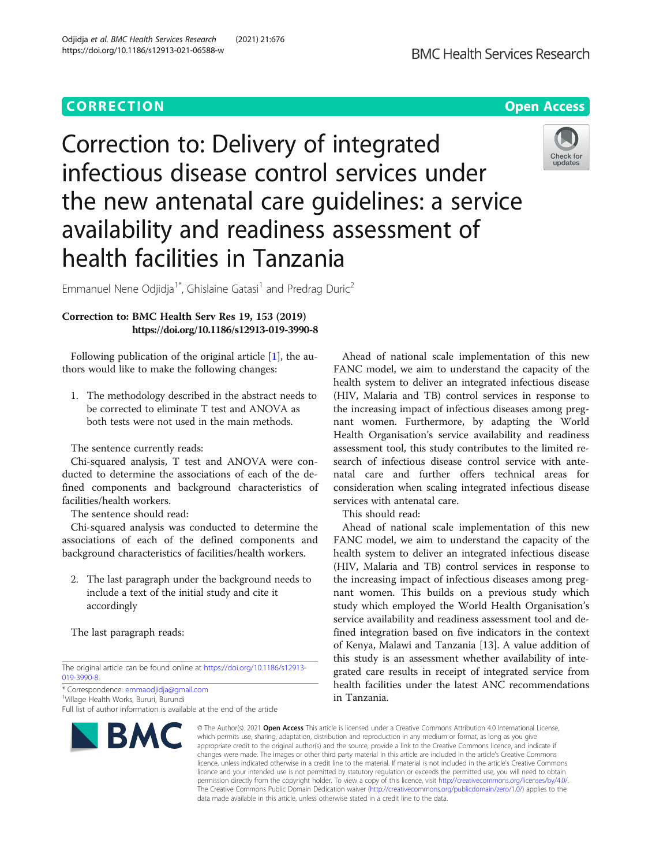# **CORRECTION CORRECTION CORRECTION**

# Correction to: Delivery of integrated infectious disease control services under the new antenatal care guidelines: a service availability and readiness assessment of health facilities in Tanzania



Emmanuel Nene Odjidja<sup>1\*</sup>, Ghislaine Gatasi<sup>1</sup> and Predrag Duric<sup>2</sup>

# Correction to: BMC Health Serv Res 19, 153 (2019) https://doi.org/10.1186/s12913-019-3990-8

Following publication of the original article [\[1](#page-1-0)], the authors would like to make the following changes:

1. The methodology described in the abstract needs to be corrected to eliminate T test and ANOVA as both tests were not used in the main methods.

The sentence currently reads:

Chi-squared analysis, T test and ANOVA were conducted to determine the associations of each of the defined components and background characteristics of facilities/health workers.

The sentence should read:

Chi-squared analysis was conducted to determine the associations of each of the defined components and background characteristics of facilities/health workers.

2. The last paragraph under the background needs to include a text of the initial study and cite it accordingly

The last paragraph reads:

The original article can be found online at [https://doi.org/10.1186/s12913-](https://doi.org/10.1186/s12913-019-3990-8) [019-3990-8.](https://doi.org/10.1186/s12913-019-3990-8)

\* Correspondence: [emmaodjidja@gmail.com](mailto:emmaodjidja@gmail.com) <sup>1</sup>

<sup>1</sup>Village Health Works, Bururi, Burundi

Full list of author information is available at the end of the article



Ahead of national scale implementation of this new FANC model, we aim to understand the capacity of the health system to deliver an integrated infectious disease (HIV, Malaria and TB) control services in response to the increasing impact of infectious diseases among pregnant women. Furthermore, by adapting the World Health Organisation's service availability and readiness assessment tool, this study contributes to the limited research of infectious disease control service with antenatal care and further offers technical areas for consideration when scaling integrated infectious disease services with antenatal care.

This should read:

Ahead of national scale implementation of this new FANC model, we aim to understand the capacity of the health system to deliver an integrated infectious disease (HIV, Malaria and TB) control services in response to the increasing impact of infectious diseases among pregnant women. This builds on a previous study which study which employed the World Health Organisation's service availability and readiness assessment tool and defined integration based on five indicators in the context of Kenya, Malawi and Tanzania [13]. A value addition of this study is an assessment whether availability of integrated care results in receipt of integrated service from health facilities under the latest ANC recommendations in Tanzania.

© The Author(s), 2021 **Open Access** This article is licensed under a Creative Commons Attribution 4.0 International License, which permits use, sharing, adaptation, distribution and reproduction in any medium or format, as long as you give appropriate credit to the original author(s) and the source, provide a link to the Creative Commons licence, and indicate if changes were made. The images or other third party material in this article are included in the article's Creative Commons licence, unless indicated otherwise in a credit line to the material. If material is not included in the article's Creative Commons licence and your intended use is not permitted by statutory regulation or exceeds the permitted use, you will need to obtain permission directly from the copyright holder. To view a copy of this licence, visit [http://creativecommons.org/licenses/by/4.0/.](http://creativecommons.org/licenses/by/4.0/) The Creative Commons Public Domain Dedication waiver [\(http://creativecommons.org/publicdomain/zero/1.0/](http://creativecommons.org/publicdomain/zero/1.0/)) applies to the data made available in this article, unless otherwise stated in a credit line to the data.